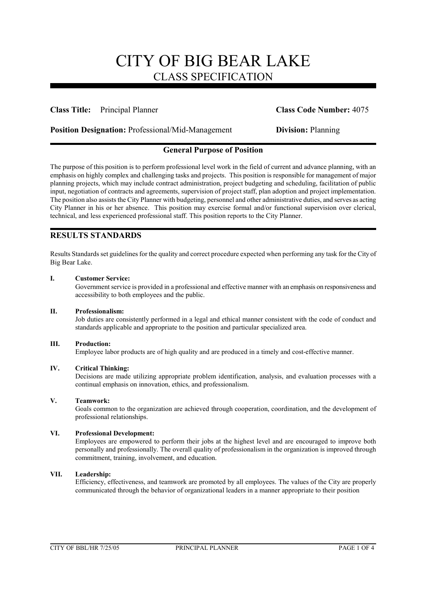### **Class Title:** Principal Planner **Class Code Number:** 4075

**Position Designation:** Professional/Mid-Management **Division:** Planning

# **General Purpose of Position**

The purpose of this position is to perform professional level work in the field of current and advance planning, with an emphasis on highly complex and challenging tasks and projects. This position is responsible for management of major planning projects, which may include contract administration, project budgeting and scheduling, facilitation of public input, negotiation of contracts and agreements, supervision of project staff, plan adoption and project implementation. The position also assists the City Planner with budgeting, personnel and other administrative duties, and serves as acting City Planner in his or her absence. This position may exercise formal and/or functional supervision over clerical, technical, and less experienced professional staff. This position reports to the City Planner.

# **RESULTS STANDARDS**

Results Standards set guidelines for the quality and correct procedure expected when performing any task for the City of Big Bear Lake.

### **I. Customer Service:**

Government service is provided in a professional and effective manner with an emphasis on responsiveness and accessibility to both employees and the public.

### **II. Professionalism:**

Job duties are consistently performed in a legal and ethical manner consistent with the code of conduct and standards applicable and appropriate to the position and particular specialized area.

### **III. Production:**

Employee labor products are of high quality and are produced in a timely and cost-effective manner.

### **IV. Critical Thinking:**

Decisions are made utilizing appropriate problem identification, analysis, and evaluation processes with a continual emphasis on innovation, ethics, and professionalism.

### **V. Teamwork:**

Goals common to the organization are achieved through cooperation, coordination, and the development of professional relationships.

### **VI. Professional Development:**

Employees are empowered to perform their jobs at the highest level and are encouraged to improve both personally and professionally. The overall quality of professionalism in the organization is improved through commitment, training, involvement, and education.

### **VII. Leadership:**

Efficiency, effectiveness, and teamwork are promoted by all employees. The values of the City are properly communicated through the behavior of organizational leaders in a manner appropriate to their position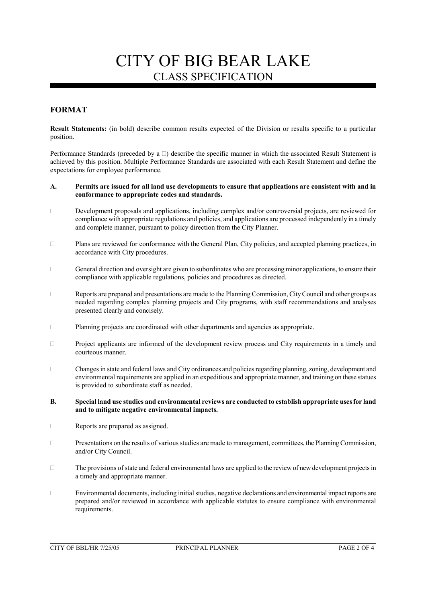# **FORMAT**

**Result Statements:** (in bold) describe common results expected of the Division or results specific to a particular position.

Performance Standards (preceded by a  $\Box$ ) describe the specific manner in which the associated Result Statement is achieved by this position. Multiple Performance Standards are associated with each Result Statement and define the expectations for employee performance.

#### **A. Permits are issued for all land use developments to ensure that applications are consistent with and in conformance to appropriate codes and standards.**

- $\Box$  Development proposals and applications, including complex and/or controversial projects, are reviewed for compliance with appropriate regulations and policies, and applications are processed independently in a timely and complete manner, pursuant to policy direction from the City Planner.
- Plans are reviewed for conformance with the General Plan, City policies, and accepted planning practices, in accordance with City procedures.
- $\Box$  General direction and oversight are given to subordinates who are processing minor applications, to ensure their compliance with applicable regulations, policies and procedures as directed.
- Reports are prepared and presentations are made to the Planning Commission, City Council and other groups as needed regarding complex planning projects and City programs, with staff recommendations and analyses presented clearly and concisely.
- Planning projects are coordinated with other departments and agencies as appropriate.
- Project applicants are informed of the development review process and City requirements in a timely and courteous manner.
- Changes in state and federal laws and City ordinances and policies regarding planning, zoning, development and environmental requirements are applied in an expeditious and appropriate manner, and training on these statues is provided to subordinate staff as needed.
- **B. Special land use studies and environmental reviews are conducted to establish appropriate uses for land and to mitigate negative environmental impacts.**
- Reports are prepared as assigned.
- $\Box$  Presentations on the results of various studies are made to management, committees, the Planning Commission, and/or City Council.
- $\Box$  The provisions of state and federal environmental laws are applied to the review of new development projects in a timely and appropriate manner.
- Environmental documents, including initial studies, negative declarations and environmental impact reports are prepared and/or reviewed in accordance with applicable statutes to ensure compliance with environmental requirements.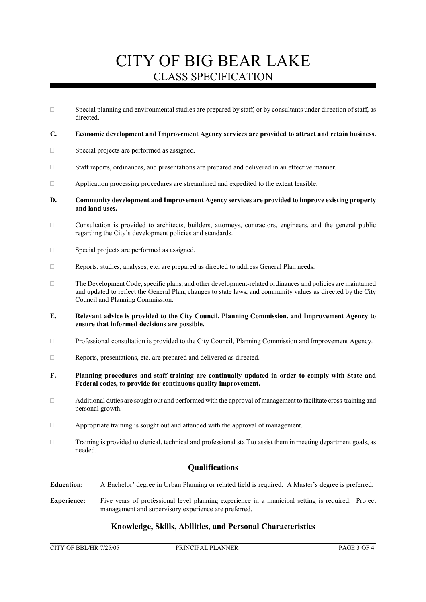$\square$  Special planning and environmental studies are prepared by staff, or by consultants under direction of staff, as directed.

### **C. Economic development and Improvement Agency services are provided to attract and retain business.**

- □ Special projects are performed as assigned.
- Staff reports, ordinances, and presentations are prepared and delivered in an effective manner.
- $\Box$  Application processing procedures are streamlined and expedited to the extent feasible.
- **D. Community development and Improvement Agency services are provided to improve existing property and land uses.**
- $\Box$  Consultation is provided to architects, builders, attorneys, contractors, engineers, and the general public regarding the City's development policies and standards.
- □ Special projects are performed as assigned.
- Reports, studies, analyses, etc. are prepared as directed to address General Plan needs.
- The Development Code, specific plans, and other development-related ordinances and policies are maintained and updated to reflect the General Plan, changes to state laws, and community values as directed by the City Council and Planning Commission.
- **E. Relevant advice is provided to the City Council, Planning Commission, and Improvement Agency to ensure that informed decisions are possible.**
- Professional consultation is provided to the City Council, Planning Commission and Improvement Agency.
- Reports, presentations, etc. are prepared and delivered as directed.
- **F. Planning procedures and staff training are continually updated in order to comply with State and Federal codes, to provide for continuous quality improvement.**
- Additional duties are sought out and performed with the approval of management to facilitate cross-training and personal growth.
- Appropriate training is sought out and attended with the approval of management.
- Training is provided to clerical, technical and professional staff to assist them in meeting department goals, as needed.

# **Qualifications**

- **Education:** A Bachelor' degree in Urban Planning or related field is required. A Master's degree is preferred.
- **Experience:** Five years of professional level planning experience in a municipal setting is required. Project management and supervisory experience are preferred.

### **Knowledge, Skills, Abilities, and Personal Characteristics**